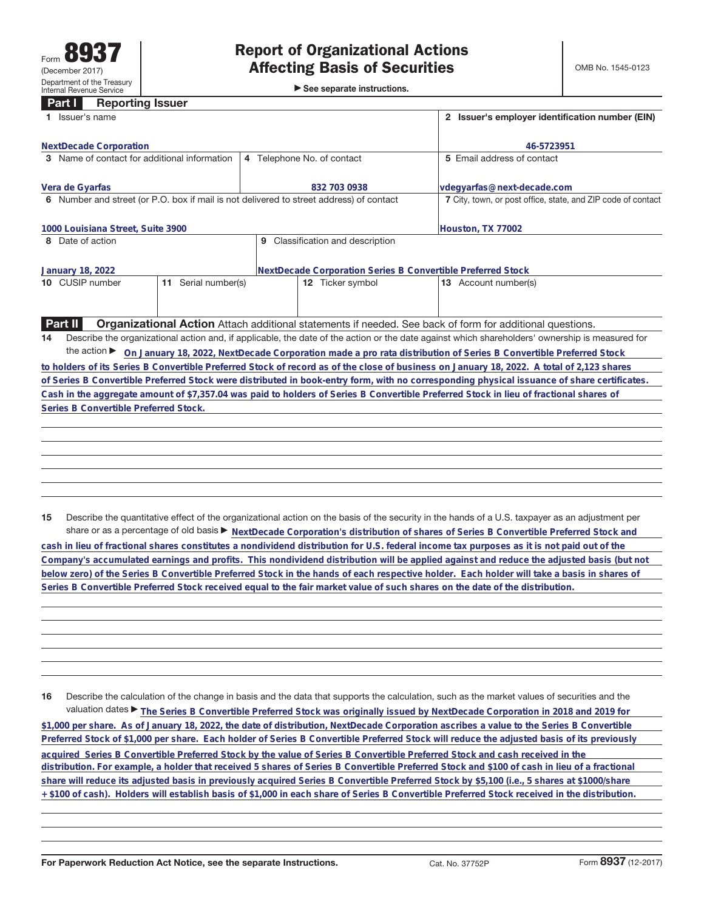►<br>► See separate instructions.

## **Part I Reporting Issuer**

| 1 Issuer's name                                                                         | 2 Issuer's employer identification number (EIN)              |                                                                                                                                                 |  |
|-----------------------------------------------------------------------------------------|--------------------------------------------------------------|-------------------------------------------------------------------------------------------------------------------------------------------------|--|
| <b>NextDecade Corporation</b>                                                           | 46-5723951                                                   |                                                                                                                                                 |  |
| 3 Name of contact for additional information                                            | 4 Telephone No. of contact                                   | 5 Email address of contact                                                                                                                      |  |
| Vera de Gyarfas                                                                         | 832 703 0938                                                 | vdegyarfas@next-decade.com                                                                                                                      |  |
| 6 Number and street (or P.O. box if mail is not delivered to street address) of contact | 7 City, town, or post office, state, and ZIP code of contact |                                                                                                                                                 |  |
| 1000 Louisiana Street, Suite 3900                                                       |                                                              | Houston, TX 77002                                                                                                                               |  |
| 8 Date of action                                                                        | 9 Classification and description                             |                                                                                                                                                 |  |
| January 18, 2022                                                                        | NextDecade Corporation Series B Convertible Preferred Stock  |                                                                                                                                                 |  |
| 11 Serial number(s)<br>10 CUSIP number                                                  | 12 Ticker symbol                                             | 13 Account number(s)                                                                                                                            |  |
|                                                                                         |                                                              |                                                                                                                                                 |  |
| <b>Part II</b>                                                                          |                                                              | <b>Organizational Action</b> Attach additional statements if needed. See back of form for additional questions.                                 |  |
| 14                                                                                      |                                                              | Describe the organizational action and, if applicable, the date of the action or the date against which shareholders' ownership is measured for |  |
|                                                                                         |                                                              | the action ▶ On January 18, 2022, NextDecade Corporation made a pro rata distribution of Series B Convertible Preferred Stock                   |  |
|                                                                                         |                                                              | to holders of its Series B Convertible Preferred Stock of record as of the close of business on January 18, 2022. A total of 2,123 shares       |  |
|                                                                                         |                                                              | of Series B Convertible Preferred Stock were distributed in book-entry form, with no corresponding physical issuance of share certificates.     |  |
|                                                                                         |                                                              | Cash in the aggregate amount of \$7,357.04 was paid to holders of Series B Convertible Preferred Stock in lieu of fractional shares of          |  |
| Series B Convertible Preferred Stock.                                                   |                                                              |                                                                                                                                                 |  |
|                                                                                         |                                                              |                                                                                                                                                 |  |
|                                                                                         |                                                              |                                                                                                                                                 |  |
|                                                                                         |                                                              |                                                                                                                                                 |  |
|                                                                                         |                                                              |                                                                                                                                                 |  |
|                                                                                         |                                                              |                                                                                                                                                 |  |
|                                                                                         |                                                              |                                                                                                                                                 |  |
|                                                                                         |                                                              |                                                                                                                                                 |  |
| 15                                                                                      |                                                              | Describe the quantitative effect of the organizational action on the basis of the security in the hands of a U.S. taxpayer as an adjustment per |  |

share or as a percentage of old basis  $\blacktriangleright$  NextDecade Corporation's distribution of shares of Series B Convertible Preferred Stock and **cash in lieu of fractional shares constitutes a nondividend distribution for U.S. federal income tax purposes as it is not paid out of the Company's accumulated earnings and profits. This nondividend distribution will be applied against and reduce the adjusted basis (but not below zero) of the Series B Convertible Preferred Stock in the hands of each respective holder. Each holder will take a basis in shares of Series B Convertible Preferred Stock received equal to the fair market value of such shares on the date of the distribution.**

**16** Describe the calculation of the change in basis and the data that supports the calculation, such as the market values of securities and the valuation dates ▶ The Series B Convertible Preferred Stock was originally issued by NextDecade Corporation in 2018 and 2019 for **\$1,000 per share. As of January 18, 2022, the date of distribution, NextDecade Corporation ascribes a value to the Series B Convertible Preferred Stock of \$1,000 per share. Each holder of Series B Convertible Preferred Stock will reduce the adjusted basis of its previously** acquired Series B Convertible Preferred Stock by the value of Series B Convertible Preferred Stock and cash received in the **distribution. For example, a holder that received 5 shares of Series B Convertible Preferred Stock and \$100 of cash in lieu of a fractional share will reduce its adjusted basis in previously acquired Series B Convertible Preferred Stock by \$5,100 (i.e., 5 shares at \$1000/share + \$100 of cash). Holders will establish basis of \$1,000 in each share of Series B Convertible Preferred Stock received in the distribution.**